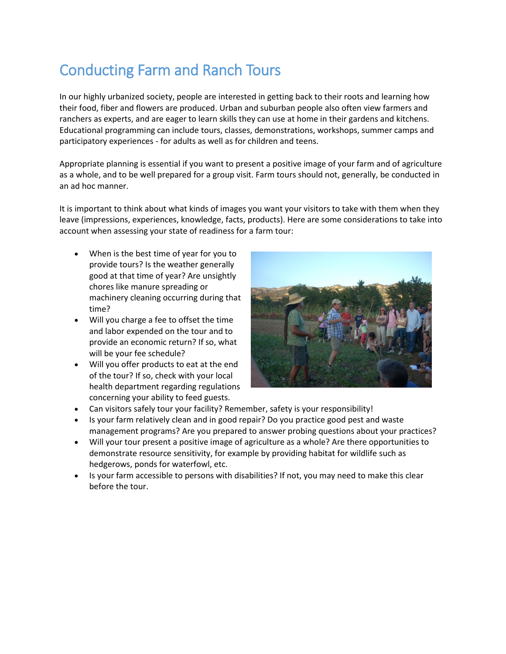# Conducting Farm and Ranch Tours

In our highly urbanized society, people are interested in getting back to their roots and learning how their food, fiber and flowers are produced. Urban and suburban people also often view farmers and ranchers as experts, and are eager to learn skills they can use at home in their gardens and kitchens. Educational programming can include tours, classes, demonstrations, workshops, summer camps and participatory experiences - for adults as well as for children and teens.

Appropriate planning is essential if you want to present a positive image of your farm and of agriculture as a whole, and to be well prepared for a group visit. Farm tours should not, generally, be conducted in an ad hoc manner.

It is important to think about what kinds of images you want your visitors to take with them when they leave (impressions, experiences, knowledge, facts, products). Here are some considerations to take into account when assessing your state of readiness for a farm tour:

- When is the best time of year for you to provide tours? Is the weather generally good at that time of year? Are unsightly chores like manure spreading or machinery cleaning occurring during that time?
- Will you charge a fee to offset the time and labor expended on the tour and to provide an economic return? If so, what will be your fee schedule?
- Will you offer products to eat at the end of the tour? If so, check with your local health department regarding regulations concerning your ability to feed guests.



- Can visitors safely tour your facility? Remember, safety is your responsibility!
- Is your farm relatively clean and in good repair? Do you practice good pest and waste management programs? Are you prepared to answer probing questions about your practices?
- Will your tour present a positive image of agriculture as a whole? Are there opportunities to demonstrate resource sensitivity, for example by providing habitat for wildlife such as hedgerows, ponds for waterfowl, etc.
- Is your farm accessible to persons with disabilities? If not, you may need to make this clear before the tour.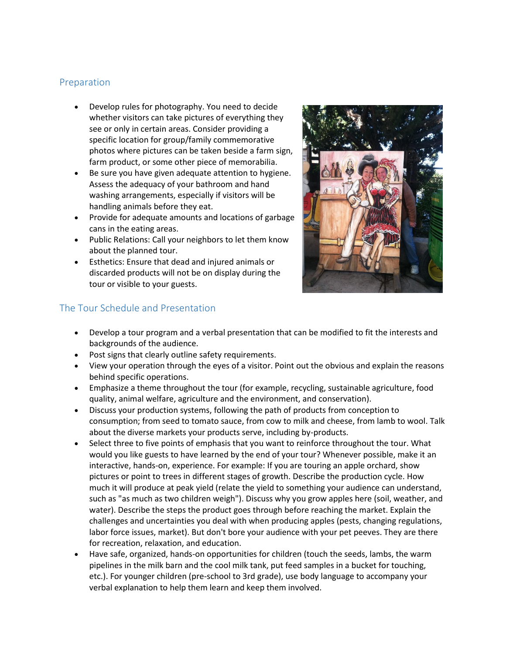#### Preparation

- Develop rules for photography. You need to decide whether visitors can take pictures of everything they see or only in certain areas. Consider providing a specific location for group/family commemorative photos where pictures can be taken beside a farm sign, farm product, or some other piece of memorabilia.
- Be sure you have given adequate attention to hygiene. Assess the adequacy of your bathroom and hand washing arrangements, especially if visitors will be handling animals before they eat.
- Provide for adequate amounts and locations of garbage cans in the eating areas.
- Public Relations: Call your neighbors to let them know about the planned tour.
- Esthetics: Ensure that dead and injured animals or discarded products will not be on display during the tour or visible to your guests.



#### The Tour Schedule and Presentation

- Develop a tour program and a verbal presentation that can be modified to fit the interests and backgrounds of the audience.
- Post signs that clearly outline safety requirements.
- View your operation through the eyes of a visitor. Point out the obvious and explain the reasons behind specific operations.
- Emphasize a theme throughout the tour (for example, recycling, sustainable agriculture, food quality, animal welfare, agriculture and the environment, and conservation).
- Discuss your production systems, following the path of products from conception to consumption; from seed to tomato sauce, from cow to milk and cheese, from lamb to wool. Talk about the diverse markets your products serve, including by-products.
- Select three to five points of emphasis that you want to reinforce throughout the tour. What would you like guests to have learned by the end of your tour? Whenever possible, make it an interactive, hands-on, experience. For example: If you are touring an apple orchard, show pictures or point to trees in different stages of growth. Describe the production cycle. How much it will produce at peak yield (relate the yield to something your audience can understand, such as "as much as two children weigh"). Discuss why you grow apples here (soil, weather, and water). Describe the steps the product goes through before reaching the market. Explain the challenges and uncertainties you deal with when producing apples (pests, changing regulations, labor force issues, market). But don't bore your audience with your pet peeves. They are there for recreation, relaxation, and education.
- Have safe, organized, hands-on opportunities for children (touch the seeds, lambs, the warm pipelines in the milk barn and the cool milk tank, put feed samples in a bucket for touching, etc.). For younger children (pre-school to 3rd grade), use body language to accompany your verbal explanation to help them learn and keep them involved.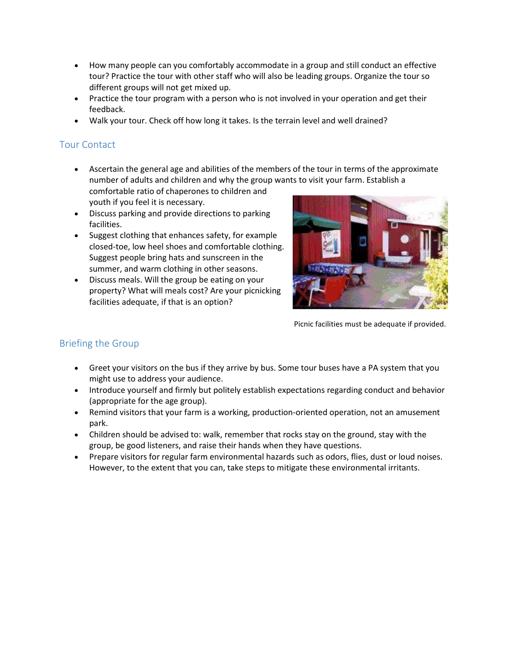- How many people can you comfortably accommodate in a group and still conduct an effective tour? Practice the tour with other staff who will also be leading groups. Organize the tour so different groups will not get mixed up.
- Practice the tour program with a person who is not involved in your operation and get their feedback.
- Walk your tour. Check off how long it takes. Is the terrain level and well drained?

# Tour Contact

 Ascertain the general age and abilities of the members of the tour in terms of the approximate number of adults and children and why the group wants to visit your farm. Establish a

comfortable ratio of chaperones to children and youth if you feel it is necessary.

- Discuss parking and provide directions to parking facilities.
- Suggest clothing that enhances safety, for example closed-toe, low heel shoes and comfortable clothing. Suggest people bring hats and sunscreen in the summer, and warm clothing in other seasons.
- Discuss meals. Will the group be eating on your property? What will meals cost? Are your picnicking facilities adequate, if that is an option?



Picnic facilities must be adequate if provided.

# Briefing the Group

- Greet your visitors on the bus if they arrive by bus. Some tour buses have a PA system that you might use to address your audience.
- Introduce yourself and firmly but politely establish expectations regarding conduct and behavior (appropriate for the age group).
- Remind visitors that your farm is a working, production-oriented operation, not an amusement park.
- Children should be advised to: walk, remember that rocks stay on the ground, stay with the group, be good listeners, and raise their hands when they have questions.
- Prepare visitors for regular farm environmental hazards such as odors, flies, dust or loud noises. However, to the extent that you can, take steps to mitigate these environmental irritants.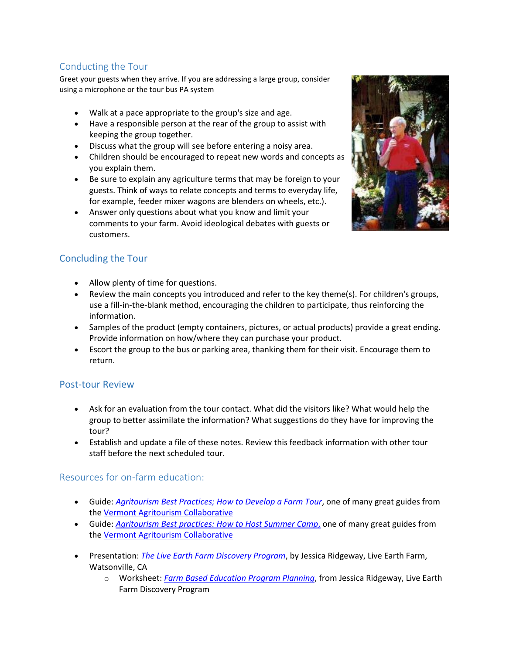# Conducting the Tour

Greet your guests when they arrive. If you are addressing a large group, consider using a microphone or the tour bus PA system

- Walk at a pace appropriate to the group's size and age.
- Have a responsible person at the rear of the group to assist with keeping the group together.
- Discuss what the group will see before entering a noisy area.
- Children should be encouraged to repeat new words and concepts as you explain them.
- Be sure to explain any agriculture terms that may be foreign to your guests. Think of ways to relate concepts and terms to everyday life, for example, feeder mixer wagons are blenders on wheels, etc.).
- Answer only questions about what you know and limit your comments to your farm. Avoid ideological debates with guests or customers.

# Concluding the Tour

- Allow plenty of time for questions.
- Review the main concepts you introduced and refer to the key theme(s). For children's groups, use a fill-in-the-blank method, encouraging the children to participate, thus reinforcing the information.
- Samples of the product (empty containers, pictures, or actual products) provide a great ending. Provide information on how/where they can purchase your product.
- Escort the group to the bus or parking area, thanking them for their visit. Encourage them to return.

#### Post-tour Review

- Ask for an evaluation from the tour contact. What did the visitors like? What would help the group to better assimilate the information? What suggestions do they have for improving the tour?
- Establish and update a file of these notes. Review this feedback information with other tour staff before the next scheduled tour.

#### Resources for on-farm education:

- Guide: *[Agritourism Best Practices; How to Develop a Farm Tour](https://www.uvm.edu/sites/default/files/Vermont-Agritourism-Collaborative/2019HowTo-DevelopFarmTour.pdf)*, one of many great guides from th[e Vermont Agritourism Collaborative](https://www.uvm.edu/vtagritourism/?Page=guides.html)
- Guide: *[Agritourism Best practices: How to Host Summer Camp](https://www.uvm.edu/sites/default/files/Vermont-Agritourism-Collaborative/2019HowTo-HostSummerCamp.pdf)*, one of many great guides from th[e Vermont Agritourism Collaborative](https://www.uvm.edu/vtagritourism/?Page=guides.html)
- Presentation: *[The Live Earth Farm Discovery Program](http://sfp.ucdavis.edu/files/177903.pdf)*, by Jessica Ridgeway, Live Earth Farm, Watsonville, CA
	- o Worksheet: *[Farm Based Education Program Planning](http://sfp.ucdavis.edu/files/177935.pdf)*, from Jessica Ridgeway, Live Earth Farm Discovery Program

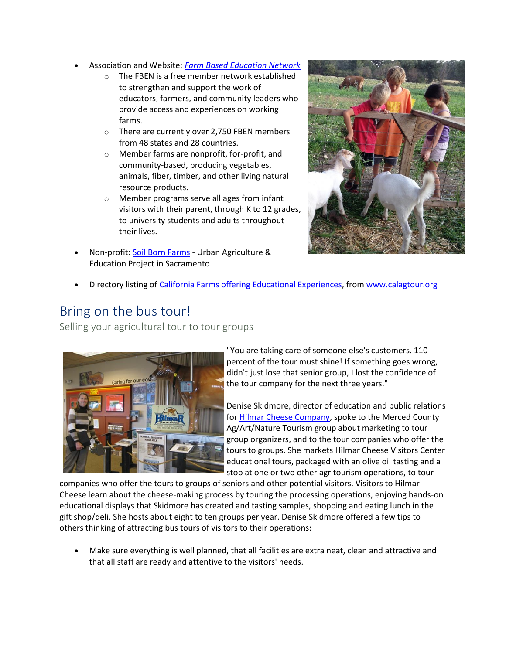- Association and Website: *[Farm Based Education Network](https://www.farmbasededucation.org/)*
	- o The FBEN is a free member network established to strengthen and support the work of educators, farmers, and community leaders who provide access and experiences on working farms.
	- o There are currently over 2,750 FBEN members from 48 states and 28 countries.
	- o Member farms are nonprofit, for-profit, and community-based, producing vegetables, animals, fiber, timber, and other living natural resource products.
	- o Member programs serve all ages from infant visitors with their parent, through K to 12 grades, to university students and adults throughout their lives.
- Non-profit[: Soil Born Farms](https://soilborn.org/) Urban Agriculture & Education Project in Sacramento



Directory listing o[f California Farms offering Educational Experiences,](http://www.calagtour.org/Educational_Experience/?ds=486&reportnumber=859&catcol=3405&categorysearch=classes%20or%20workshops) from [www.calagtour.org](http://www.calagtour.org/)

# Bring on the bus tour!

Selling your agricultural tour to tour groups



"You are taking care of someone else's customers. 110 percent of the tour must shine! If something goes wrong, I didn't just lose that senior group, I lost the confidence of the tour company for the next three years."

Denise Skidmore, director of education and public relations fo[r Hilmar Cheese Company,](http://www.hilmarcheese.com/) spoke to the Merced County Ag/Art/Nature Tourism group about marketing to tour group organizers, and to the tour companies who offer the tours to groups. She markets Hilmar Cheese Visitors Center educational tours, packaged with an olive oil tasting and a stop at one or two other agritourism operations, to tour

companies who offer the tours to groups of seniors and other potential visitors. Visitors to Hilmar Cheese learn about the cheese-making process by touring the processing operations, enjoying hands-on educational displays that Skidmore has created and tasting samples, shopping and eating lunch in the gift shop/deli. She hosts about eight to ten groups per year. Denise Skidmore offered a few tips to others thinking of attracting bus tours of visitors to their operations:

 Make sure everything is well planned, that all facilities are extra neat, clean and attractive and that all staff are ready and attentive to the visitors' needs.